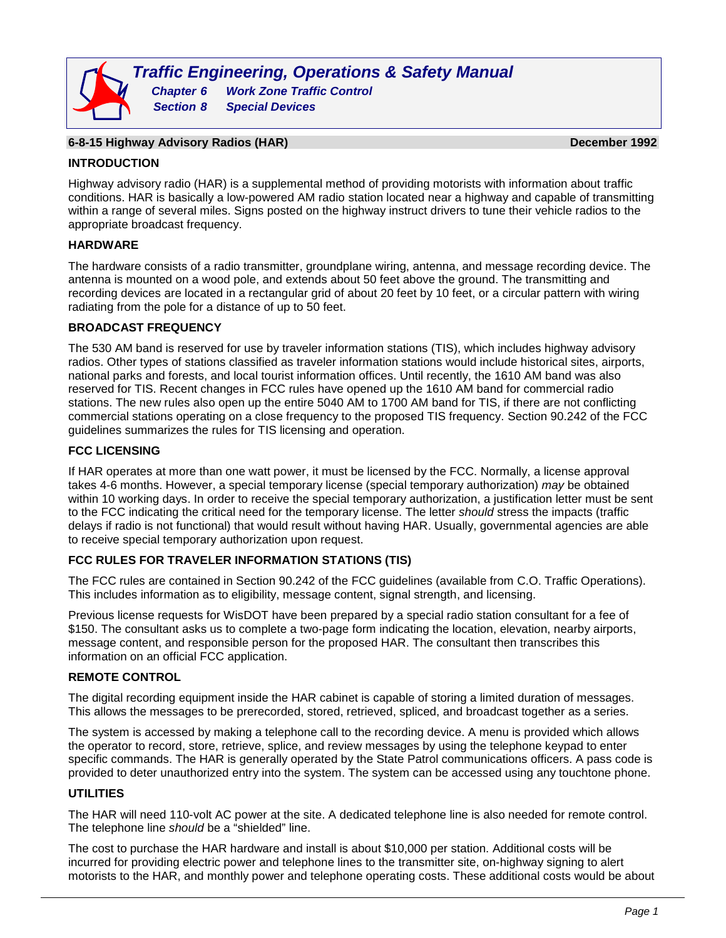# **6-8-15 Highway Advisory Radios (HAR) December 1992**

#### **INTRODUCTION**

Highway advisory radio (HAR) is a supplemental method of providing motorists with information about traffic conditions. HAR is basically a low-powered AM radio station located near a highway and capable of transmitting within a range of several miles. Signs posted on the highway instruct drivers to tune their vehicle radios to the appropriate broadcast frequency.

### **HARDWARE**

The hardware consists of a radio transmitter, groundplane wiring, antenna, and message recording device. The antenna is mounted on a wood pole, and extends about 50 feet above the ground. The transmitting and recording devices are located in a rectangular grid of about 20 feet by 10 feet, or a circular pattern with wiring radiating from the pole for a distance of up to 50 feet.

## **BROADCAST FREQUENCY**

The 530 AM band is reserved for use by traveler information stations (TIS), which includes highway advisory radios. Other types of stations classified as traveler information stations would include historical sites, airports, national parks and forests, and local tourist information offices. Until recently, the 1610 AM band was also reserved for TIS. Recent changes in FCC rules have opened up the 1610 AM band for commercial radio stations. The new rules also open up the entire 5040 AM to 1700 AM band for TIS, if there are not conflicting commercial stations operating on a close frequency to the proposed TIS frequency. Section 90.242 of the FCC guidelines summarizes the rules for TIS licensing and operation.

### **FCC LICENSING**

If HAR operates at more than one watt power, it must be licensed by the FCC. Normally, a license approval takes 4-6 months. However, a special temporary license (special temporary authorization) *may* be obtained within 10 working days. In order to receive the special temporary authorization, a justification letter must be sent to the FCC indicating the critical need for the temporary license. The letter *should* stress the impacts (traffic delays if radio is not functional) that would result without having HAR. Usually, governmental agencies are able to receive special temporary authorization upon request.

# **FCC RULES FOR TRAVELER INFORMATION STATIONS (TIS)**

The FCC rules are contained in Section 90.242 of the FCC guidelines (available from C.O. Traffic Operations). This includes information as to eligibility, message content, signal strength, and licensing.

Previous license requests for WisDOT have been prepared by a special radio station consultant for a fee of \$150. The consultant asks us to complete a two-page form indicating the location, elevation, nearby airports, message content, and responsible person for the proposed HAR. The consultant then transcribes this information on an official FCC application.

# **REMOTE CONTROL**

The digital recording equipment inside the HAR cabinet is capable of storing a limited duration of messages. This allows the messages to be prerecorded, stored, retrieved, spliced, and broadcast together as a series.

The system is accessed by making a telephone call to the recording device. A menu is provided which allows the operator to record, store, retrieve, splice, and review messages by using the telephone keypad to enter specific commands. The HAR is generally operated by the State Patrol communications officers. A pass code is provided to deter unauthorized entry into the system. The system can be accessed using any touchtone phone.

#### **UTILITIES**

The HAR will need 110-volt AC power at the site. A dedicated telephone line is also needed for remote control. The telephone line *should* be a "shielded" line.

The cost to purchase the HAR hardware and install is about \$10,000 per station. Additional costs will be incurred for providing electric power and telephone lines to the transmitter site, on-highway signing to alert motorists to the HAR, and monthly power and telephone operating costs. These additional costs would be about